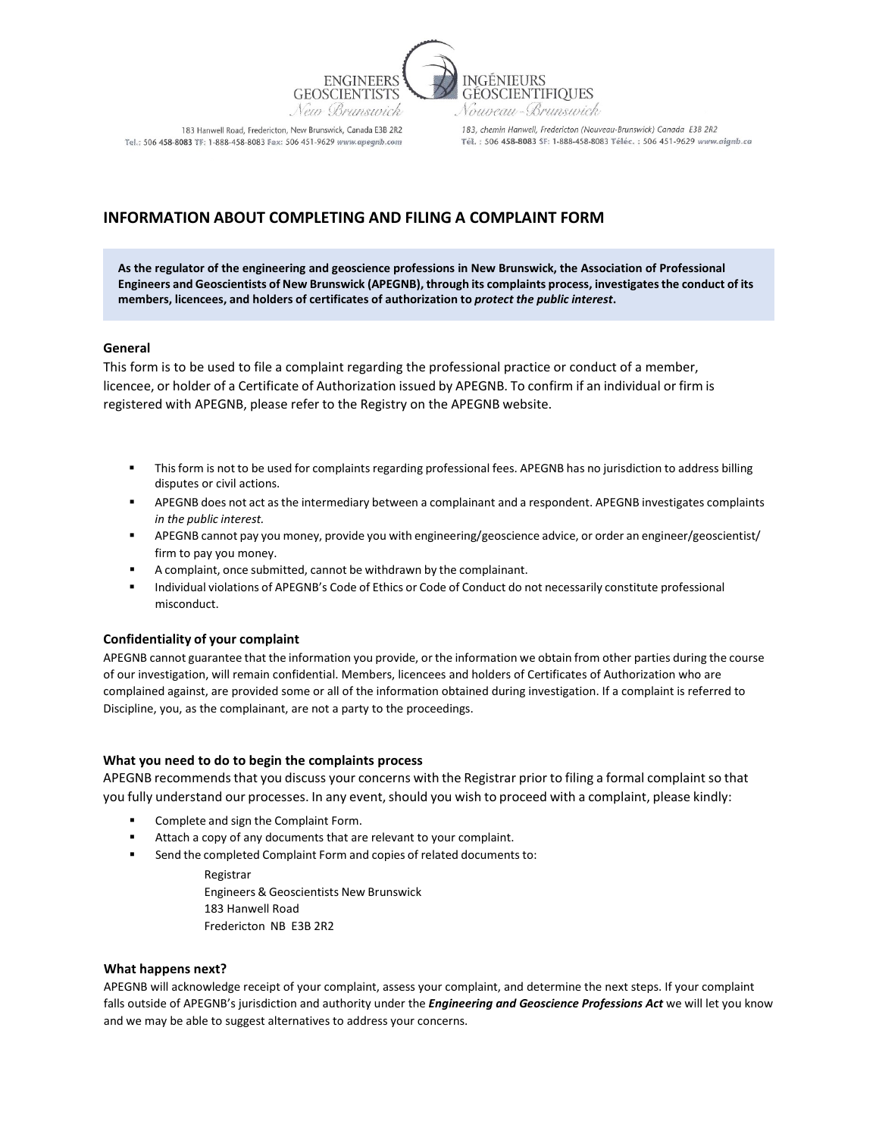

183 Hanwell Road, Fredericton, New Brunswick, Canada E3B 2R2 Tel.: 506 458-8083 TF: 1-888-458-8083 Fax: 506 451-9629 www.apeanb.com

183, chemin Hanwell, Fredericton (Nouveau-Brunswick) Canada E3B 2R2 Tél.: 506 458-8083 SF: 1-888-458-8083 Téléc.: 506 451-9629 www.aignb.co

# **INFORMATION ABOUT COMPLETING AND FILING A COMPLAINT FORM**

**As the regulator of the engineering and geoscience professions in New Brunswick, the Association of Professional Engineers and Geoscientists of New Brunswick (APEGNB), through its complaints process, investigates the conduct of its members, licencees, and holders of certificates of authorization to** *protect the public interest***.** 

## **General**

This form is to be used to file a complaint regarding the professional practice or conduct of a member, licencee, or holder of a Certificate of Authorization issued by APEGNB. To confirm if an individual or firm is registered with APEGNB, please refer to the Registry on the APEGNB website.

- Thisform is not to be used for complaints regarding professional fees. APEGNB has no jurisdiction to address billing disputes or civil actions.
- APEGNB does not act asthe intermediary between a complainant and a respondent. APEGNB investigates complaints *in the public interest.*
- APEGNB cannot pay you money, provide you with engineering/geoscience advice, or order an engineer/geoscientist/ firm to pay you money.
- A complaint, once submitted, cannot be withdrawn by the complainant.
- Individual violations of APEGNB's Code of Ethics or Code of Conduct do not necessarily constitute professional misconduct.

## **Confidentiality of your complaint**

APEGNB cannot guarantee that the information you provide, or the information we obtain from other parties during the course of our investigation, will remain confidential. Members, licencees and holders of Certificates of Authorization who are complained against, are provided some or all of the information obtained during investigation. If a complaint is referred to Discipline, you, as the complainant, are not a party to the proceedings.

## **What you need to do to begin the complaints process**

APEGNB recommends that you discuss your concerns with the Registrar prior to filing a formal complaint so that you fully understand our processes. In any event, should you wish to proceed with a complaint, please kindly:

- Complete and sign the Complaint Form.
- Attach a copy of any documents that are relevant to your complaint.
- Send the completed Complaint Form and copies of related documents to:

Registrar Engineers & Geoscientists New Brunswick 183 Hanwell Road Fredericton NB E3B 2R2

#### **What happens next?**

APEGNB will acknowledge receipt of your complaint, assess your complaint, and determine the next steps. If your complaint falls outside of APEGNB's jurisdiction and authority under the *Engineering and Geoscience Professions Act* we will let you know and we may be able to suggest alternatives to address your concerns.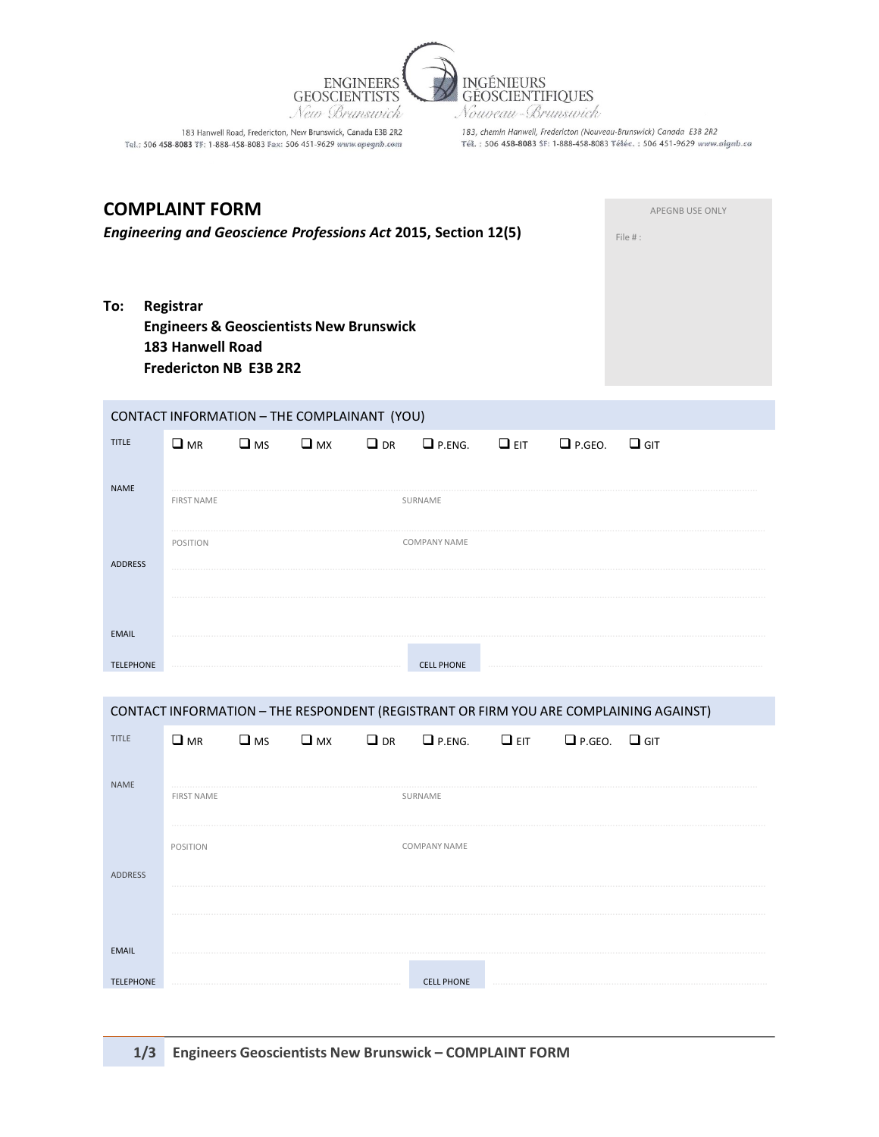

Tel.: 506 458-8083 TF: 1-888-458-8083 Fax: 506 451-9629 www.apegnb.com

183, chemin Hanwell, Fredericton (Nouveau-Brunswick) Canada E3B 2R2<br>T'él. : 506 **458-8083** \$F: 1-888-458-8083 Téléc. : 506 451-9629 www.aignb.ca

| <b>COMPLAINT FORM</b><br><b>Engineering and Geoscience Professions Act 2015, Section 12(5)</b>                              |  |                   |              |              |           |                     |            |               | APEGNB USE ONLY<br>File #:                                                            |
|-----------------------------------------------------------------------------------------------------------------------------|--|-------------------|--------------|--------------|-----------|---------------------|------------|---------------|---------------------------------------------------------------------------------------|
| To:<br>Registrar<br><b>Engineers &amp; Geoscientists New Brunswick</b><br><b>183 Hanwell Road</b><br>Fredericton NB E3B 2R2 |  |                   |              |              |           |                     |            |               |                                                                                       |
| CONTACT INFORMATION - THE COMPLAINANT (YOU)                                                                                 |  |                   |              |              |           |                     |            |               |                                                                                       |
| <b>TITLE</b>                                                                                                                |  | $\Box$ MR         | $\square$ MS | $\square$ MX | $\Box$ DR | $\Box$ P.ENG.       | $\Box$ EIT | $\Box$ P.GEO. | $\Box$ GIT                                                                            |
| <b>NAME</b>                                                                                                                 |  | <b>FIRST NAME</b> |              |              |           | SURNAME             |            |               |                                                                                       |
| <b>ADDRESS</b>                                                                                                              |  | POSITION          |              |              |           | <b>COMPANY NAME</b> |            |               |                                                                                       |
| <b>EMAIL</b><br><b>TELEPHONE</b>                                                                                            |  |                   |              |              |           | <b>CELL PHONE</b>   |            |               |                                                                                       |
|                                                                                                                             |  |                   |              |              |           |                     |            |               | CONTACT INFORMATION - THE RESPONDENT (REGISTRANT OR FIRM YOU ARE COMPLAINING AGAINST) |
| <b>TITLE</b>                                                                                                                |  | $\square$ MR      | $\square$ MS | $\square$ MX | $\Box$ DR | $\Box$ P.ENG.       | $\Box$ EIT | $\Box$ P.GEO. | $\Box$ GIT                                                                            |
| <b>NAME</b>                                                                                                                 |  | FIRST NAME        |              |              |           | SURNAME             |            |               |                                                                                       |
| ADDRESS                                                                                                                     |  | POSITION          |              |              |           | COMPANY NAME        |            |               |                                                                                       |
| <b>EMAIL</b>                                                                                                                |  |                   |              |              |           |                     |            |               |                                                                                       |
| <b>TELEPHONE</b>                                                                                                            |  |                   |              |              |           | <b>CELL PHONE</b>   |            |               |                                                                                       |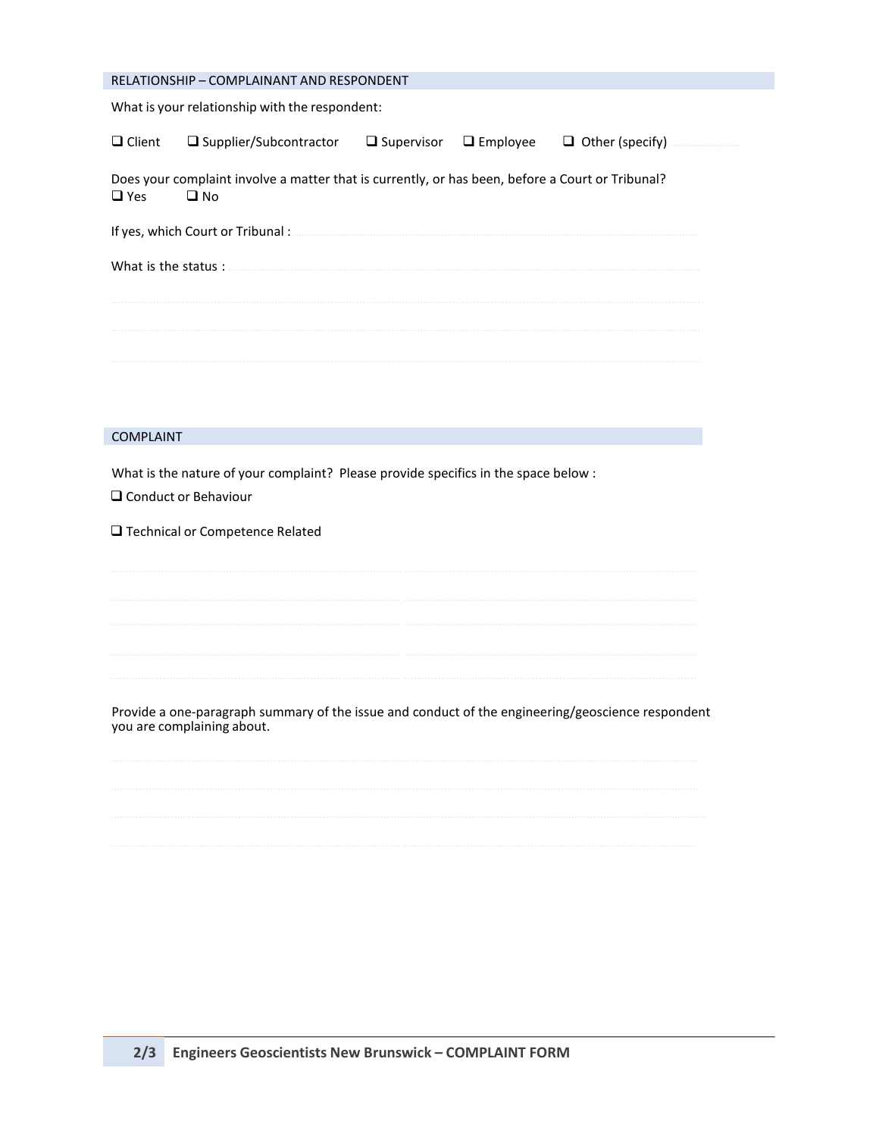| RELATIONSHIP - COMPLAINANT AND RESPONDENT                                                                                                                                                                                            |                                                                                                      |  |  |  |  |  |  |  |
|--------------------------------------------------------------------------------------------------------------------------------------------------------------------------------------------------------------------------------------|------------------------------------------------------------------------------------------------------|--|--|--|--|--|--|--|
| What is your relationship with the respondent:                                                                                                                                                                                       |                                                                                                      |  |  |  |  |  |  |  |
|                                                                                                                                                                                                                                      | $\Box$ Client $\Box$ Supplier/Subcontractor $\Box$ Supervisor $\Box$ Employee $\Box$ Other (specify) |  |  |  |  |  |  |  |
| Does your complaint involve a matter that is currently, or has been, before a Court or Tribunal?<br>$\Box$ Yes<br>$\square$ No                                                                                                       |                                                                                                      |  |  |  |  |  |  |  |
| If yes, which Court or Tribunal: <b>Manual Act and Separate Act and Separate Act and Separate Act and Separate Act and Separate Act and Separate Act and Separate Act and Separate Act and Separate Act and Separate Act and Sep</b> |                                                                                                      |  |  |  |  |  |  |  |
|                                                                                                                                                                                                                                      |                                                                                                      |  |  |  |  |  |  |  |
|                                                                                                                                                                                                                                      |                                                                                                      |  |  |  |  |  |  |  |
|                                                                                                                                                                                                                                      |                                                                                                      |  |  |  |  |  |  |  |
|                                                                                                                                                                                                                                      |                                                                                                      |  |  |  |  |  |  |  |
|                                                                                                                                                                                                                                      |                                                                                                      |  |  |  |  |  |  |  |
| COMPLAINT                                                                                                                                                                                                                            |                                                                                                      |  |  |  |  |  |  |  |

What is the nature of your complaint? Please provide specifics in the space below :

□ Conduct or Behaviour

□ Technical or Competence Related

Provide a one-paragraph summary of the issue and conduct of the engineering/geoscience respondent you are complaining about.